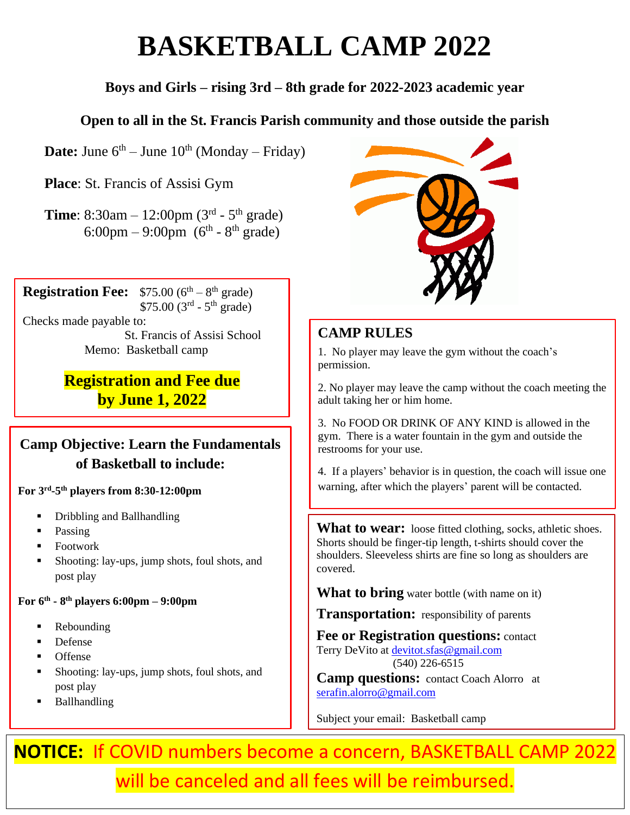# **BASKETBALL CAMP 2022**

### **Boys and Girls – rising 3rd – 8th grade for 2022-2023 academic year**

#### **Open to all in the St. Francis Parish community and those outside the parish**

**Date:** June  $6^{th}$  – June  $10^{th}$  (Monday – Friday)

**Place**: St. Francis of Assisi Gym

**Time**:  $8:30$ am  $-12:00$ pm ( $3<sup>rd</sup> - 5<sup>th</sup>$  grade) 6:00pm – 9:00pm ( $6^{\text{th}}$  -  $8^{\text{th}}$  grade)

**Registration Fee:**  $$75.00 (6<sup>th</sup> - 8<sup>th</sup> \text{ grade})$  $$75.00~(3<sup>rd</sup> - 5<sup>th</sup> grade)$ Checks made payable to: St. Francis of Assisi School Memo: Basketball camp

# **Registration and Fee due by June 1, 2022**

## **Camp Objective: Learn the Fundamentals of Basketball to include:**

**For 3rd -5 th players from 8:30-12:00pm**

- Dribbling and Ballhandling
- Passing
- **Footwork**
- Shooting: lay-ups, jump shots, foul shots, and post play

**For 6 th - 8 th players 6:00pm – 9:00pm**

- Rebounding
- **Defense**
- **Offense**
- Shooting: lay-ups, jump shots, foul shots, and post play
- Ballhandling



### **CAMP RULES**

1. No player may leave the gym without the coach's permission.

2. No player may leave the camp without the coach meeting the adult taking her or him home.

3. No FOOD OR DRINK OF ANY KIND is allowed in the gym. There is a water fountain in the gym and outside the restrooms for your use.

4. If a players' behavior is in question, the coach will issue one warning, after which the players' parent will be contacted.

**What to wear:** loose fitted clothing, socks, athletic shoes. Shorts should be finger-tip length, t-shirts should cover the shoulders. Sleeveless shirts are fine so long as shoulders are covered.

**What to bring** water bottle (with name on it)

**Transportation:** responsibility of parents

**Fee or Registration questions:** contact Terry DeVito at [devitot.sfas@gmail.com](mailto:devitot.sfas@gmail.com) (540) 226-6515

**Camp questions:** contact Coach Alorro at [serafin.alorro@gmail.com](mailto:serafin.alorro@gmail.com)

Subject your email: Basketball camp

**NOTICE:** If COVID numbers become a concern, BASKETBALL CAMP 2022 will be canceled and all fees will be reimbursed.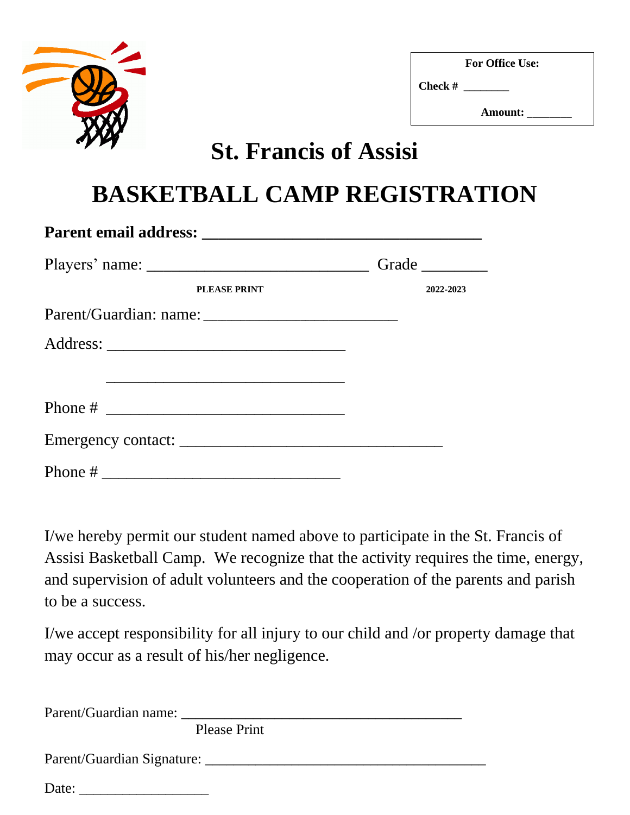

**For Office Use:**

**Check # \_\_\_\_\_\_\_\_**

 **Amount:** \_\_\_\_\_\_\_\_

# **St. Francis of Assisi**

# **BASKETBALL CAMP REGISTRATION**

|                     | Grade     |
|---------------------|-----------|
| <b>PLEASE PRINT</b> | 2022-2023 |
|                     |           |
|                     |           |
|                     |           |
| Phone $\#$          |           |
|                     |           |
|                     |           |

I/we hereby permit our student named above to participate in the St. Francis of Assisi Basketball Camp. We recognize that the activity requires the time, energy, and supervision of adult volunteers and the cooperation of the parents and parish to be a success.

I/we accept responsibility for all injury to our child and /or property damage that may occur as a result of his/her negligence.

| Parent/Guardian name: |                     |  |  |
|-----------------------|---------------------|--|--|
|                       | <b>Please Print</b> |  |  |
|                       |                     |  |  |
| Date:                 |                     |  |  |